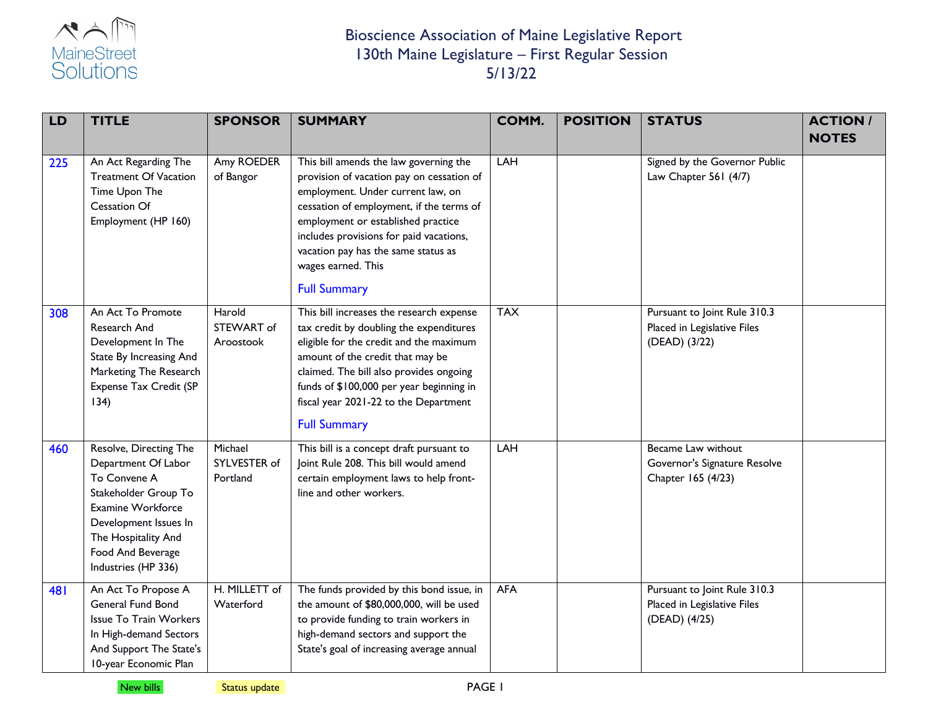

| LD  | <b>TITLE</b>                                                                                                                                                                                           | <b>SPONSOR</b>                      | <b>SUMMARY</b>                                                                                                                                                                                                                                                                                                                            | COMM.      | <b>POSITION</b> | <b>STATUS</b>                                                                | <b>ACTION/</b><br><b>NOTES</b> |
|-----|--------------------------------------------------------------------------------------------------------------------------------------------------------------------------------------------------------|-------------------------------------|-------------------------------------------------------------------------------------------------------------------------------------------------------------------------------------------------------------------------------------------------------------------------------------------------------------------------------------------|------------|-----------------|------------------------------------------------------------------------------|--------------------------------|
| 225 | An Act Regarding The<br><b>Treatment Of Vacation</b><br>Time Upon The<br>Cessation Of<br>Employment (HP 160)                                                                                           | Amy ROEDER<br>of Bangor             | This bill amends the law governing the<br>provision of vacation pay on cessation of<br>employment. Under current law, on<br>cessation of employment, if the terms of<br>employment or established practice<br>includes provisions for paid vacations,<br>vacation pay has the same status as<br>wages earned. This<br><b>Full Summary</b> | LAH        |                 | Signed by the Governor Public<br>Law Chapter 561 (4/7)                       |                                |
| 308 | An Act To Promote<br>Research And<br>Development In The<br>State By Increasing And<br>Marketing The Research<br>Expense Tax Credit (SP<br>134)                                                         | Harold<br>STEWART of<br>Aroostook   | This bill increases the research expense<br>tax credit by doubling the expenditures<br>eligible for the credit and the maximum<br>amount of the credit that may be<br>claimed. The bill also provides ongoing<br>funds of \$100,000 per year beginning in<br>fiscal year 2021-22 to the Department<br><b>Full Summary</b>                 | <b>TAX</b> |                 | Pursuant to Joint Rule 310.3<br>Placed in Legislative Files<br>(DEAD) (3/22) |                                |
| 460 | Resolve, Directing The<br>Department Of Labor<br>To Convene A<br>Stakeholder Group To<br>Examine Workforce<br>Development Issues In<br>The Hospitality And<br>Food And Beverage<br>Industries (HP 336) | Michael<br>SYLVESTER of<br>Portland | This bill is a concept draft pursuant to<br>Joint Rule 208. This bill would amend<br>certain employment laws to help front-<br>line and other workers.                                                                                                                                                                                    | LAH        |                 | Became Law without<br>Governor's Signature Resolve<br>Chapter 165 (4/23)     |                                |
| 481 | An Act To Propose A<br>General Fund Bond<br><b>Issue To Train Workers</b><br>In High-demand Sectors<br>And Support The State's<br>10-year Economic Plan                                                | H. MILLETT of<br>Waterford          | The funds provided by this bond issue, in<br>the amount of \$80,000,000, will be used<br>to provide funding to train workers in<br>high-demand sectors and support the<br>State's goal of increasing average annual                                                                                                                       | <b>AFA</b> |                 | Pursuant to Joint Rule 310.3<br>Placed in Legislative Files<br>(DEAD) (4/25) |                                |

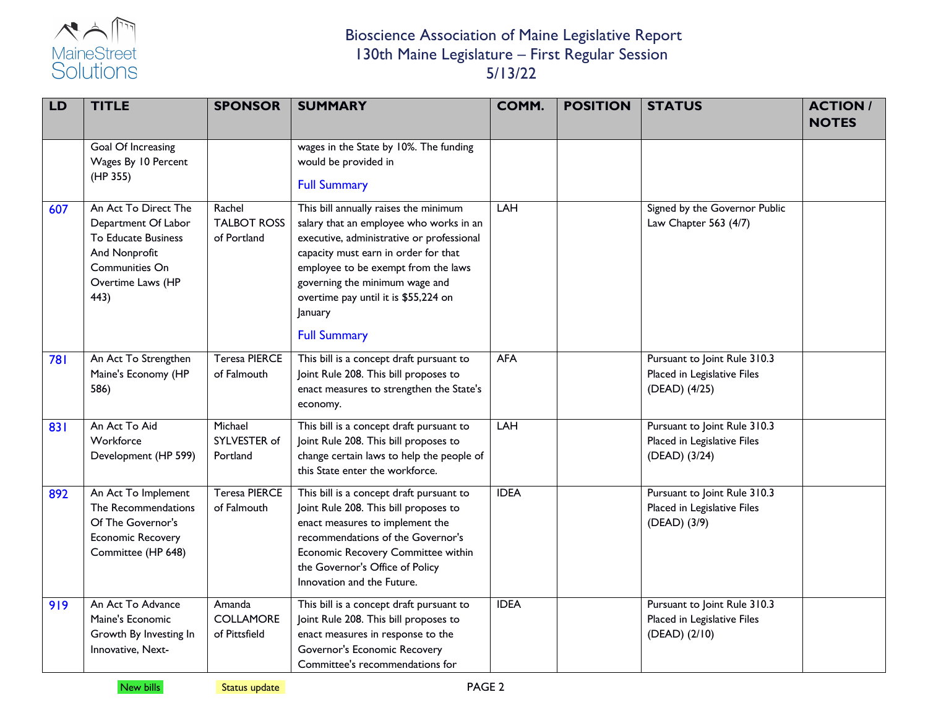

| <b>LD</b> | <b>TITLE</b>                                                                                                                       | <b>SPONSOR</b>                              | <b>SUMMARY</b>                                                                                                                                                                                                                                                                                                           | COMM.       | <b>POSITION</b> | <b>STATUS</b>                                                                | <b>ACTION/</b><br><b>NOTES</b> |
|-----------|------------------------------------------------------------------------------------------------------------------------------------|---------------------------------------------|--------------------------------------------------------------------------------------------------------------------------------------------------------------------------------------------------------------------------------------------------------------------------------------------------------------------------|-------------|-----------------|------------------------------------------------------------------------------|--------------------------------|
|           | Goal Of Increasing<br>Wages By 10 Percent<br>(HP 355)                                                                              |                                             | wages in the State by 10%. The funding<br>would be provided in<br><b>Full Summary</b>                                                                                                                                                                                                                                    |             |                 |                                                                              |                                |
| 607       | An Act To Direct The<br>Department Of Labor<br>To Educate Business<br>And Nonprofit<br>Communities On<br>Overtime Laws (HP<br>443) | Rachel<br><b>TALBOT ROSS</b><br>of Portland | This bill annually raises the minimum<br>salary that an employee who works in an<br>executive, administrative or professional<br>capacity must earn in order for that<br>employee to be exempt from the laws<br>governing the minimum wage and<br>overtime pay until it is \$55,224 on<br>January<br><b>Full Summary</b> | <b>LAH</b>  |                 | Signed by the Governor Public<br>Law Chapter 563 (4/7)                       |                                |
| 781       | An Act To Strengthen<br>Maine's Economy (HP<br>586)                                                                                | <b>Teresa PIERCE</b><br>of Falmouth         | This bill is a concept draft pursuant to<br>Joint Rule 208. This bill proposes to<br>enact measures to strengthen the State's<br>economy.                                                                                                                                                                                | <b>AFA</b>  |                 | Pursuant to Joint Rule 310.3<br>Placed in Legislative Files<br>(DEAD) (4/25) |                                |
| 831       | An Act To Aid<br>Workforce<br>Development (HP 599)                                                                                 | Michael<br>SYLVESTER of<br>Portland         | This bill is a concept draft pursuant to<br>Joint Rule 208. This bill proposes to<br>change certain laws to help the people of<br>this State enter the workforce.                                                                                                                                                        | <b>LAH</b>  |                 | Pursuant to Joint Rule 310.3<br>Placed in Legislative Files<br>(DEAD) (3/24) |                                |
| 892       | An Act To Implement<br>The Recommendations<br>Of The Governor's<br>Economic Recovery<br>Committee (HP 648)                         | <b>Teresa PIERCE</b><br>of Falmouth         | This bill is a concept draft pursuant to<br>Joint Rule 208. This bill proposes to<br>enact measures to implement the<br>recommendations of the Governor's<br>Economic Recovery Committee within<br>the Governor's Office of Policy<br>Innovation and the Future.                                                         | <b>IDEA</b> |                 | Pursuant to Joint Rule 310.3<br>Placed in Legislative Files<br>(DEAD) (3/9)  |                                |
| 919       | An Act To Advance<br>Maine's Economic<br>Growth By Investing In<br>Innovative, Next-                                               | Amanda<br><b>COLLAMORE</b><br>of Pittsfield | This bill is a concept draft pursuant to<br>Joint Rule 208. This bill proposes to<br>enact measures in response to the<br>Governor's Economic Recovery<br>Committee's recommendations for                                                                                                                                | <b>IDEA</b> |                 | Pursuant to Joint Rule 310.3<br>Placed in Legislative Files<br>(DEAD) (2/10) |                                |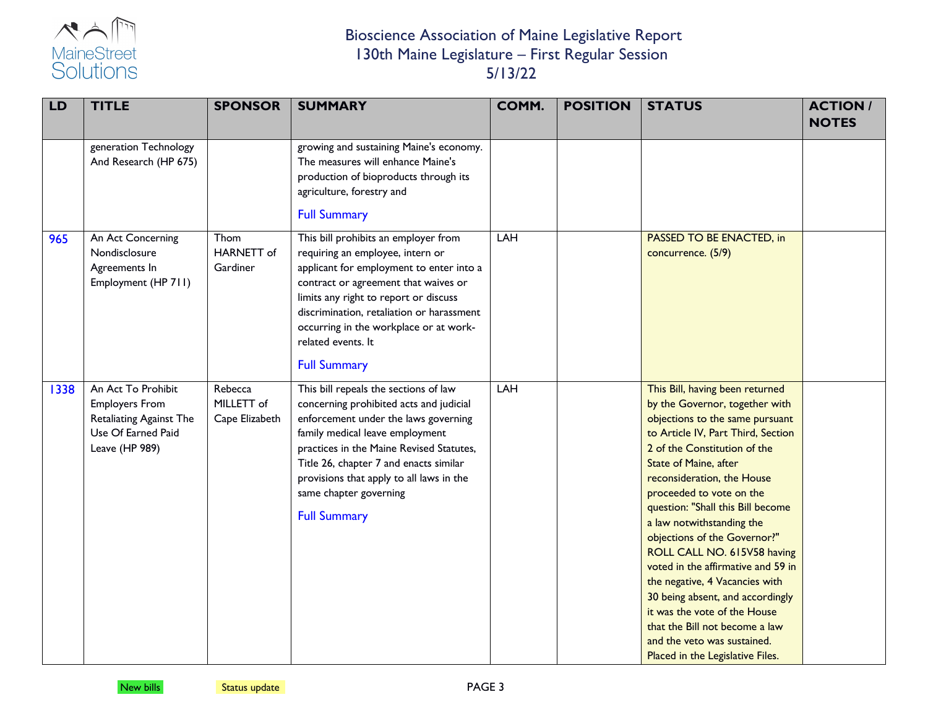

| LD   | <b>TITLE</b>                                                                                                   | <b>SPONSOR</b>                          | <b>SUMMARY</b>                                                                                                                                                                                                                                                                                                                                 | COMM. | <b>POSITION</b> | <b>STATUS</b>                                                                                                                                                                                                                                                                                                                                                                                                                                                                                                                                                                                                                                   | <b>ACTION/</b><br><b>NOTES</b> |
|------|----------------------------------------------------------------------------------------------------------------|-----------------------------------------|------------------------------------------------------------------------------------------------------------------------------------------------------------------------------------------------------------------------------------------------------------------------------------------------------------------------------------------------|-------|-----------------|-------------------------------------------------------------------------------------------------------------------------------------------------------------------------------------------------------------------------------------------------------------------------------------------------------------------------------------------------------------------------------------------------------------------------------------------------------------------------------------------------------------------------------------------------------------------------------------------------------------------------------------------------|--------------------------------|
|      | generation Technology<br>And Research (HP 675)                                                                 |                                         | growing and sustaining Maine's economy.<br>The measures will enhance Maine's<br>production of bioproducts through its<br>agriculture, forestry and<br><b>Full Summary</b>                                                                                                                                                                      |       |                 |                                                                                                                                                                                                                                                                                                                                                                                                                                                                                                                                                                                                                                                 |                                |
| 965  | An Act Concerning<br>Nondisclosure<br>Agreements In<br>Employment (HP 711)                                     | Thom<br><b>HARNETT</b> of<br>Gardiner   | This bill prohibits an employer from<br>requiring an employee, intern or<br>applicant for employment to enter into a<br>contract or agreement that waives or<br>limits any right to report or discuss<br>discrimination, retaliation or harassment<br>occurring in the workplace or at work-<br>related events. It<br><b>Full Summary</b>      | LAH   |                 | PASSED TO BE ENACTED, in<br>concurrence. (5/9)                                                                                                                                                                                                                                                                                                                                                                                                                                                                                                                                                                                                  |                                |
| 1338 | An Act To Prohibit<br><b>Employers From</b><br>Retaliating Against The<br>Use Of Earned Paid<br>Leave (HP 989) | Rebecca<br>MILLETT of<br>Cape Elizabeth | This bill repeals the sections of law<br>concerning prohibited acts and judicial<br>enforcement under the laws governing<br>family medical leave employment<br>practices in the Maine Revised Statutes,<br>Title 26, chapter 7 and enacts similar<br>provisions that apply to all laws in the<br>same chapter governing<br><b>Full Summary</b> | LAH   |                 | This Bill, having been returned<br>by the Governor, together with<br>objections to the same pursuant<br>to Article IV, Part Third, Section<br>2 of the Constitution of the<br>State of Maine, after<br>reconsideration, the House<br>proceeded to vote on the<br>question: "Shall this Bill become<br>a law notwithstanding the<br>objections of the Governor?"<br>ROLL CALL NO. 615V58 having<br>voted in the affirmative and 59 in<br>the negative, 4 Vacancies with<br>30 being absent, and accordingly<br>it was the vote of the House<br>that the Bill not become a law<br>and the veto was sustained.<br>Placed in the Legislative Files. |                                |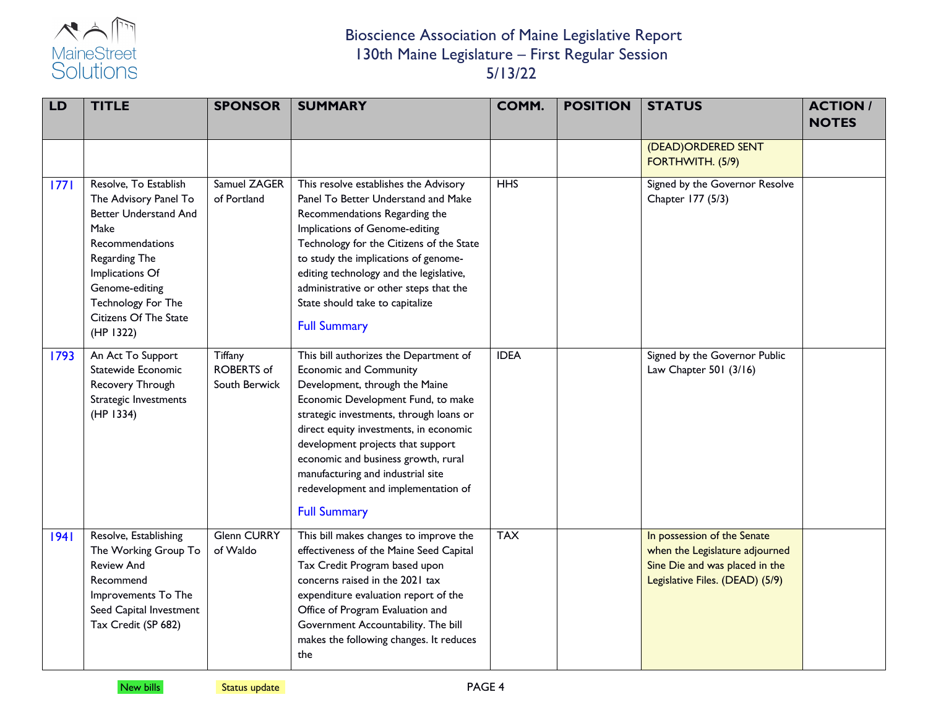

| <b>LD</b> | <b>TITLE</b>                                                                                                                                                                                                                | <b>SPONSOR</b>                                | <b>SUMMARY</b>                                                                                                                                                                                                                                                                                                                                                                                                      | COMM.          | <b>POSITION</b> | <b>STATUS</b>                                                                                                                      | <b>ACTION/</b><br><b>NOTES</b> |
|-----------|-----------------------------------------------------------------------------------------------------------------------------------------------------------------------------------------------------------------------------|-----------------------------------------------|---------------------------------------------------------------------------------------------------------------------------------------------------------------------------------------------------------------------------------------------------------------------------------------------------------------------------------------------------------------------------------------------------------------------|----------------|-----------------|------------------------------------------------------------------------------------------------------------------------------------|--------------------------------|
|           |                                                                                                                                                                                                                             |                                               |                                                                                                                                                                                                                                                                                                                                                                                                                     |                |                 | (DEAD) ORDERED SENT<br>FORTHWITH. (5/9)                                                                                            |                                |
| 1771      | Resolve, To Establish<br>The Advisory Panel To<br><b>Better Understand And</b><br>Make<br>Recommendations<br>Regarding The<br>Implications Of<br>Genome-editing<br>Technology For The<br>Citizens Of The State<br>(HP 1322) | Samuel ZAGER<br>of Portland                   | This resolve establishes the Advisory<br>Panel To Better Understand and Make<br>Recommendations Regarding the<br>Implications of Genome-editing<br>Technology for the Citizens of the State<br>to study the implications of genome-<br>editing technology and the legislative,<br>administrative or other steps that the<br>State should take to capitalize<br><b>Full Summary</b>                                  | $\overline{H}$ |                 | Signed by the Governor Resolve<br>Chapter 177 (5/3)                                                                                |                                |
| 1793      | An Act To Support<br>Statewide Economic<br>Recovery Through<br>Strategic Investments<br>(HP 1334)                                                                                                                           | Tiffany<br><b>ROBERTS</b> of<br>South Berwick | This bill authorizes the Department of<br><b>Economic and Community</b><br>Development, through the Maine<br>Economic Development Fund, to make<br>strategic investments, through loans or<br>direct equity investments, in economic<br>development projects that support<br>economic and business growth, rural<br>manufacturing and industrial site<br>redevelopment and implementation of<br><b>Full Summary</b> | <b>IDEA</b>    |                 | Signed by the Governor Public<br>Law Chapter 501 (3/16)                                                                            |                                |
| 1941      | Resolve, Establishing<br>The Working Group To<br><b>Review And</b><br>Recommend<br>Improvements To The<br>Seed Capital Investment<br>Tax Credit (SP 682)                                                                    | <b>Glenn CURRY</b><br>of Waldo                | This bill makes changes to improve the<br>effectiveness of the Maine Seed Capital<br>Tax Credit Program based upon<br>concerns raised in the 2021 tax<br>expenditure evaluation report of the<br>Office of Program Evaluation and<br>Government Accountability. The bill<br>makes the following changes. It reduces<br>the                                                                                          | <b>TAX</b>     |                 | In possession of the Senate<br>when the Legislature adjourned<br>Sine Die and was placed in the<br>Legislative Files. (DEAD) (5/9) |                                |